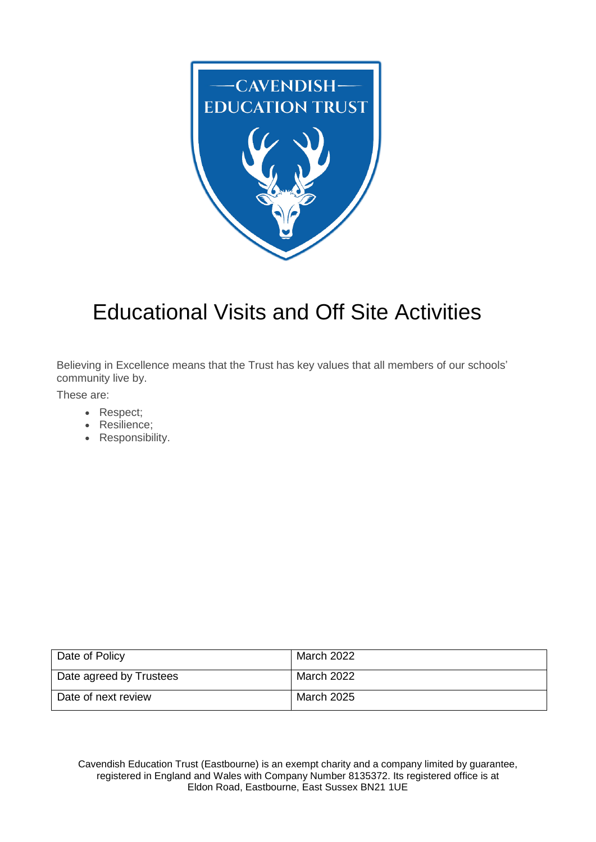

# Educational Visits and Off Site Activities

Believing in Excellence means that the Trust has key values that all members of our schools' community live by.

These are:

- Respect;
- Resilience;
- Responsibility.

| Date of Policy          | March 2022 |
|-------------------------|------------|
| Date agreed by Trustees | March 2022 |
| Date of next review     | March 2025 |

Cavendish Education Trust (Eastbourne) is an exempt charity and a company limited by guarantee, registered in England and Wales with Company Number 8135372. Its registered office is at Eldon Road, Eastbourne, East Sussex BN21 1UE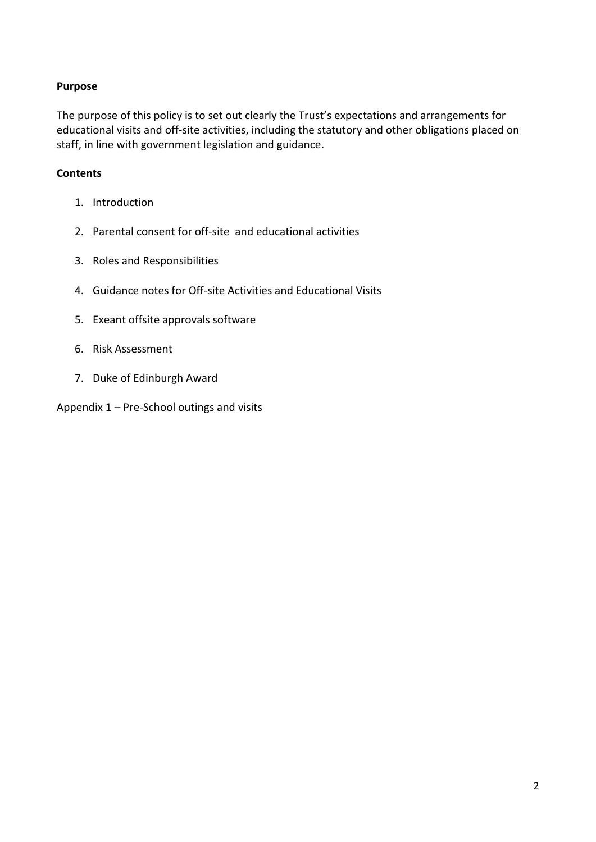## **Purpose**

The purpose of this policy is to set out clearly the Trust's expectations and arrangements for educational visits and off-site activities, including the statutory and other obligations placed on staff, in line with government legislation and guidance.

## **Contents**

- 1. Introduction
- 2. Parental consent for off-site and educational activities
- 3. Roles and Responsibilities
- 4. Guidance notes for Off-site Activities and Educational Visits
- 5. Exeant offsite approvals software
- 6. Risk Assessment
- 7. Duke of Edinburgh Award
- Appendix 1 Pre-School outings and visits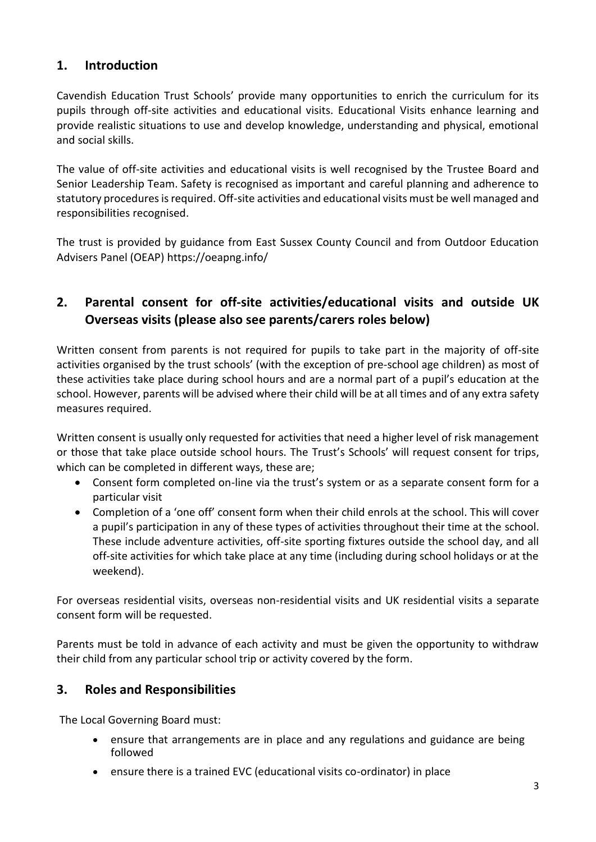# **1. Introduction**

Cavendish Education Trust Schools' provide many opportunities to enrich the curriculum for its pupils through off-site activities and educational visits. Educational Visits enhance learning and provide realistic situations to use and develop knowledge, understanding and physical, emotional and social skills.

The value of off-site activities and educational visits is well recognised by the Trustee Board and Senior Leadership Team. Safety is recognised as important and careful planning and adherence to statutory procedures is required. Off-site activities and educational visits must be well managed and responsibilities recognised.

The trust is provided by guidance from East Sussex County Council and from Outdoor Education Advisers Panel (OEAP) <https://oeapng.info/>

# **2. Parental consent for off-site activities/educational visits and outside UK Overseas visits (please also see parents/carers roles below)**

Written consent from parents is not required for pupils to take part in the majority of off-site activities organised by the trust schools' (with the exception of pre-school age children) as most of these activities take place during school hours and are a normal part of a pupil's education at the school. However, parents will be advised where their child will be at all times and of any extra safety measures required.

Written consent is usually only requested for activities that need a higher level of risk management or those that take place outside school hours. The Trust's Schools' will request consent for trips, which can be completed in different ways, these are;

- Consent form completed on-line via the trust's system or as a separate consent form for a particular visit
- Completion of a 'one off' consent form when their child enrols at the school. This will cover a pupil's participation in any of these types of activities throughout their time at the school. These include adventure activities, off-site sporting fixtures outside the school day, and all off-site activities for which take place at any time (including during school holidays or at the weekend).

For overseas residential visits, overseas non-residential visits and UK residential visits a separate consent form will be requested.

Parents must be told in advance of each activity and must be given the opportunity to withdraw their child from any particular school trip or activity covered by the form.

# **3. Roles and Responsibilities**

The Local Governing Board must:

- ensure that arrangements are in place and any regulations and guidance are being followed
- ensure there is a trained EVC (educational visits co-ordinator) in place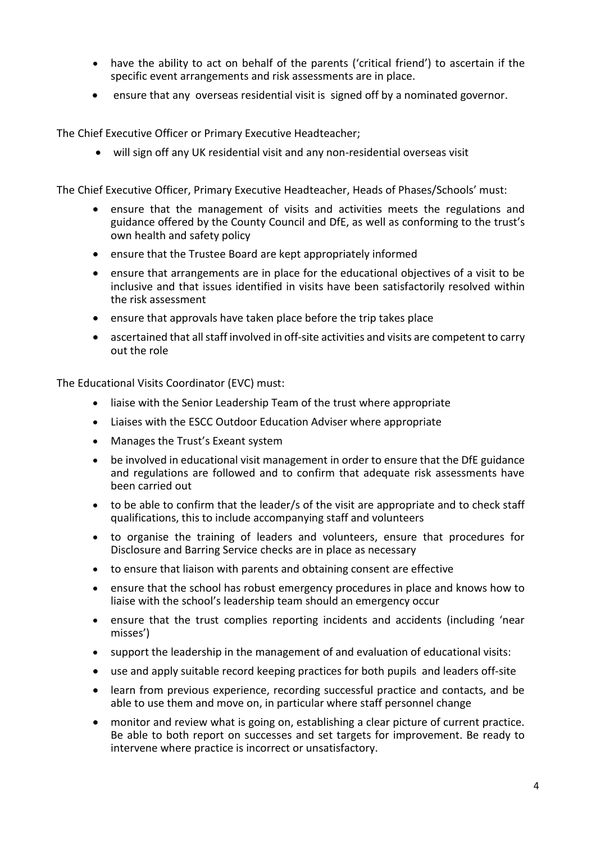- have the ability to act on behalf of the parents ('critical friend') to ascertain if the specific event arrangements and risk assessments are in place.
- ensure that any overseas residential visit is signed off by a nominated governor.

The Chief Executive Officer or Primary Executive Headteacher;

will sign off any UK residential visit and any non-residential overseas visit

The Chief Executive Officer, Primary Executive Headteacher, Heads of Phases/Schools' must:

- ensure that the management of visits and activities meets the regulations and guidance offered by the County Council and DfE, as well as conforming to the trust's own health and safety policy
- ensure that the Trustee Board are kept appropriately informed
- ensure that arrangements are in place for the educational objectives of a visit to be inclusive and that issues identified in visits have been satisfactorily resolved within the risk assessment
- ensure that approvals have taken place before the trip takes place
- ascertained that all staff involved in off-site activities and visits are competent to carry out the role

The Educational Visits Coordinator (EVC) must:

- liaise with the Senior Leadership Team of the trust where appropriate
- Liaises with the ESCC Outdoor Education Adviser where appropriate
- Manages the Trust's Exeant system
- be involved in educational visit management in order to ensure that the DfE guidance and regulations are followed and to confirm that adequate risk assessments have been carried out
- to be able to confirm that the leader/s of the visit are appropriate and to check staff qualifications, this to include accompanying staff and volunteers
- to organise the training of leaders and volunteers, ensure that procedures for Disclosure and Barring Service checks are in place as necessary
- to ensure that liaison with parents and obtaining consent are effective
- ensure that the school has robust emergency procedures in place and knows how to liaise with the school's leadership team should an emergency occur
- ensure that the trust complies reporting incidents and accidents (including 'near misses')
- support the leadership in the management of and evaluation of educational visits:
- use and apply suitable record keeping practices for both pupils and leaders off-site
- learn from previous experience, recording successful practice and contacts, and be able to use them and move on, in particular where staff personnel change
- monitor and review what is going on, establishing a clear picture of current practice. Be able to both report on successes and set targets for improvement. Be ready to intervene where practice is incorrect or unsatisfactory.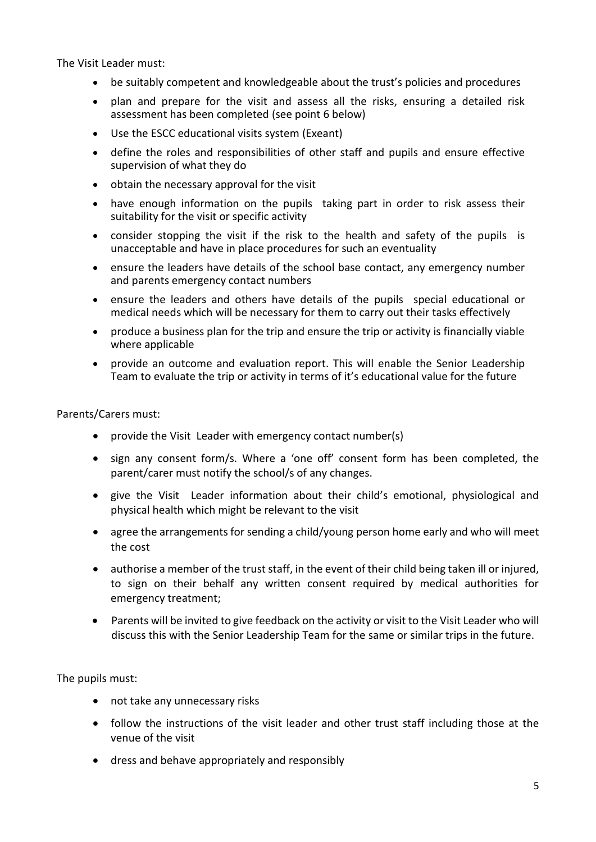The Visit Leader must:

- be suitably competent and knowledgeable about the trust's policies and procedures
- plan and prepare for the visit and assess all the risks, ensuring a detailed risk assessment has been completed (see point 6 below)
- Use the ESCC educational visits system (Exeant)
- define the roles and responsibilities of other staff and pupils and ensure effective supervision of what they do
- obtain the necessary approval for the visit
- have enough information on the pupils taking part in order to risk assess their suitability for the visit or specific activity
- consider stopping the visit if the risk to the health and safety of the pupils is unacceptable and have in place procedures for such an eventuality
- ensure the leaders have details of the school base contact, any emergency number and parents emergency contact numbers
- ensure the leaders and others have details of the pupils special educational or medical needs which will be necessary for them to carry out their tasks effectively
- produce a business plan for the trip and ensure the trip or activity is financially viable where applicable
- provide an outcome and evaluation report. This will enable the Senior Leadership Team to evaluate the trip or activity in terms of it's educational value for the future

#### Parents/Carers must:

- provide the Visit Leader with emergency contact number(s)
- sign any consent form/s. Where a 'one off' consent form has been completed, the parent/carer must notify the school/s of any changes.
- give the Visit Leader information about their child's emotional, physiological and physical health which might be relevant to the visit
- agree the arrangements for sending a child/young person home early and who will meet the cost
- authorise a member of the trust staff, in the event of their child being taken ill or injured, to sign on their behalf any written consent required by medical authorities for emergency treatment;
- Parents will be invited to give feedback on the activity or visit to the Visit Leader who will discuss this with the Senior Leadership Team for the same or similar trips in the future.

The pupils must:

- not take any unnecessary risks
- follow the instructions of the visit leader and other trust staff including those at the venue of the visit
- dress and behave appropriately and responsibly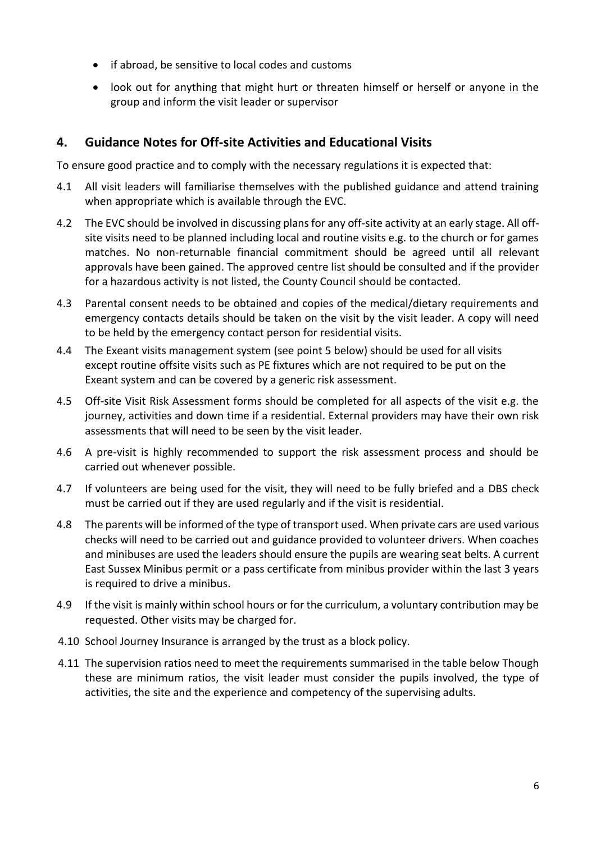- if abroad, be sensitive to local codes and customs
- look out for anything that might hurt or threaten himself or herself or anyone in the group and inform the visit leader or supervisor

## **4. Guidance Notes for Off-site Activities and Educational Visits**

To ensure good practice and to comply with the necessary regulations it is expected that:

- 4.1 All visit leaders will familiarise themselves with the published guidance and attend training when appropriate which is available through the EVC.
- 4.2 The EVC should be involved in discussing plans for any off-site activity at an early stage. All offsite visits need to be planned including local and routine visits e.g. to the church or for games matches. No non-returnable financial commitment should be agreed until all relevant approvals have been gained. The approved centre list should be consulted and if the provider for a hazardous activity is not listed, the County Council should be contacted.
- 4.3 Parental consent needs to be obtained and copies of the medical/dietary requirements and emergency contacts details should be taken on the visit by the visit leader. A copy will need to be held by the emergency contact person for residential visits.
- 4.4 The Exeant visits management system (see point 5 below) should be used for all visits except routine offsite visits such as PE fixtures which are not required to be put on the Exeant system and can be covered by a generic risk assessment.
- 4.5 Off-site Visit Risk Assessment forms should be completed for all aspects of the visit e.g. the journey, activities and down time if a residential. External providers may have their own risk assessments that will need to be seen by the visit leader.
- 4.6 A pre-visit is highly recommended to support the risk assessment process and should be carried out whenever possible.
- 4.7 If volunteers are being used for the visit, they will need to be fully briefed and a DBS check must be carried out if they are used regularly and if the visit is residential.
- 4.8 The parents will be informed of the type of transport used. When private cars are used various checks will need to be carried out and guidance provided to volunteer drivers. When coaches and minibuses are used the leaders should ensure the pupils are wearing seat belts. A current East Sussex Minibus permit or a pass certificate from minibus provider within the last 3 years is required to drive a minibus.
- 4.9 If the visit is mainly within school hours or for the curriculum, a voluntary contribution may be requested. Other visits may be charged for.
- 4.10 School Journey Insurance is arranged by the trust as a block policy.
- 4.11 The supervision ratios need to meet the requirements summarised in the table below Though these are minimum ratios, the visit leader must consider the pupils involved, the type of activities, the site and the experience and competency of the supervising adults.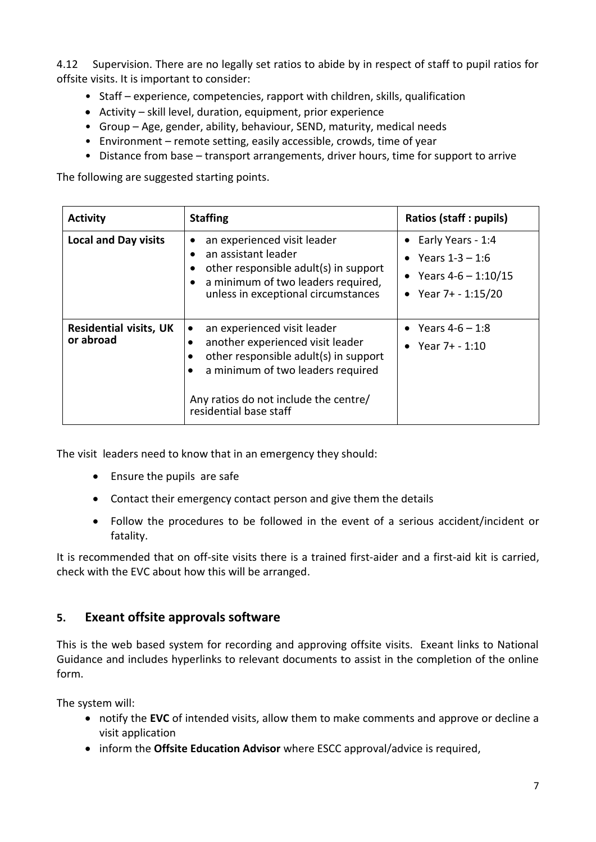4.12 Supervision. There are no legally set ratios to abide by in respect of staff to pupil ratios for offsite visits. It is important to consider:

- Staff experience, competencies, rapport with children, skills, qualification
- Activity skill level, duration, equipment, prior experience
- Group Age, gender, ability, behaviour, SEND, maturity, medical needs
- Environment remote setting, easily accessible, crowds, time of year
- Distance from base transport arrangements, driver hours, time for support to arrive

The following are suggested starting points.

| <b>Activity</b>                            | <b>Staffing</b>                                                                                                                                                                                                  | Ratios (staff : pupils)                                                                                |
|--------------------------------------------|------------------------------------------------------------------------------------------------------------------------------------------------------------------------------------------------------------------|--------------------------------------------------------------------------------------------------------|
| <b>Local and Day visits</b>                | an experienced visit leader<br>an assistant leader<br>٠<br>other responsible adult(s) in support<br>a minimum of two leaders required,<br>$\bullet$<br>unless in exceptional circumstances                       | $\bullet$ Early Years - 1:4<br>• Years $1 - 3 - 1.6$<br>• Years $4-6 - 1:10/15$<br>• Year 7+ - 1:15/20 |
| <b>Residential visits, UK</b><br>or abroad | an experienced visit leader<br>another experienced visit leader<br>other responsible adult(s) in support<br>a minimum of two leaders required<br>Any ratios do not include the centre/<br>residential base staff | • Years $4-6 - 1:8$<br>• Year $7+ - 1:10$                                                              |

The visit leaders need to know that in an emergency they should:

- Ensure the pupils are safe
- Contact their emergency contact person and give them the details
- Follow the procedures to be followed in the event of a serious accident/incident or fatality.

It is recommended that on off-site visits there is a trained first-aider and a first-aid kit is carried, check with the EVC about how this will be arranged.

## **5. Exeant offsite approvals software**

This is the web based system for recording and approving offsite visits. Exeant links to National Guidance and includes hyperlinks to relevant documents to assist in the completion of the online form.

The system will:

- notify the **EVC** of intended visits, allow them to make comments and approve or decline a visit application
- inform the **Offsite Education Advisor** where ESCC approval/advice is required,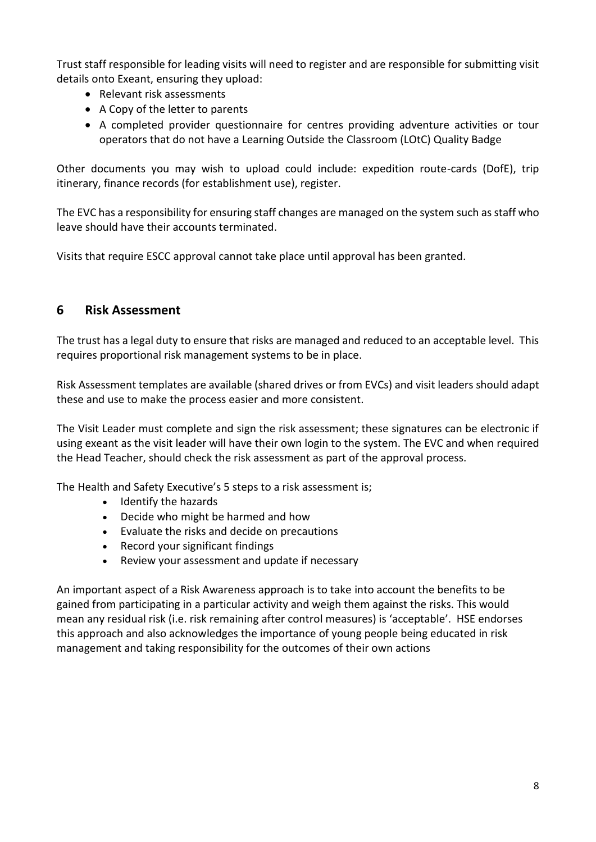Trust staff responsible for leading visits will need to register and are responsible for submitting visit details onto Exeant, ensuring they upload:

- Relevant risk assessments
- A Copy of the letter to parents
- A completed provider questionnaire for centres providing adventure activities or tour operators that do not have a Learning Outside the Classroom (LOtC) Quality Badge

Other documents you may wish to upload could include: expedition route-cards (DofE), trip itinerary, finance records (for establishment use), register.

The EVC has a responsibility for ensuring staff changes are managed on the system such as staff who leave should have their accounts terminated.

Visits that require ESCC approval cannot take place until approval has been granted.

## **6 Risk Assessment**

The trust has a legal duty to ensure that risks are managed and reduced to an acceptable level. This requires proportional risk management systems to be in place.

Risk Assessment templates are available (shared drives or from EVCs) and visit leaders should adapt these and use to make the process easier and more consistent.

The Visit Leader must complete and sign the risk assessment; these signatures can be electronic if using exeant as the visit leader will have their own login to the system. The EVC and when required the Head Teacher, should check the risk assessment as part of the approval process.

The Health and Safety Executive's 5 steps to a risk assessment is;

- Identify the [hazards](http://www.hse.gov.uk/risk/identify-the-hazards.htm)
- Decide who might be [harmed](http://www.hse.gov.uk/risk/decide-who-might-be-harmed.htm) and how
- Evaluate the risks and decide on [precautions](http://www.hse.gov.uk/risk/evaluate-the-risks.htm)
- Record your [significant](http://www.hse.gov.uk/risk/record-your-findings-and-implement-them.htm) findings
- Review your [assessment](http://www.hse.gov.uk/risk/review-your-assessment.htm) and update if necessary

An important aspect of a Risk Awareness approach is to take into account the benefits to be gained from participating in a particular activity and weigh them against the risks. This would mean any residual risk (i.e. risk remaining after control measures) is 'acceptable'. HSE endorses this approach and also acknowledges the importance of young people being educated in risk management and taking responsibility for the outcomes of their own actions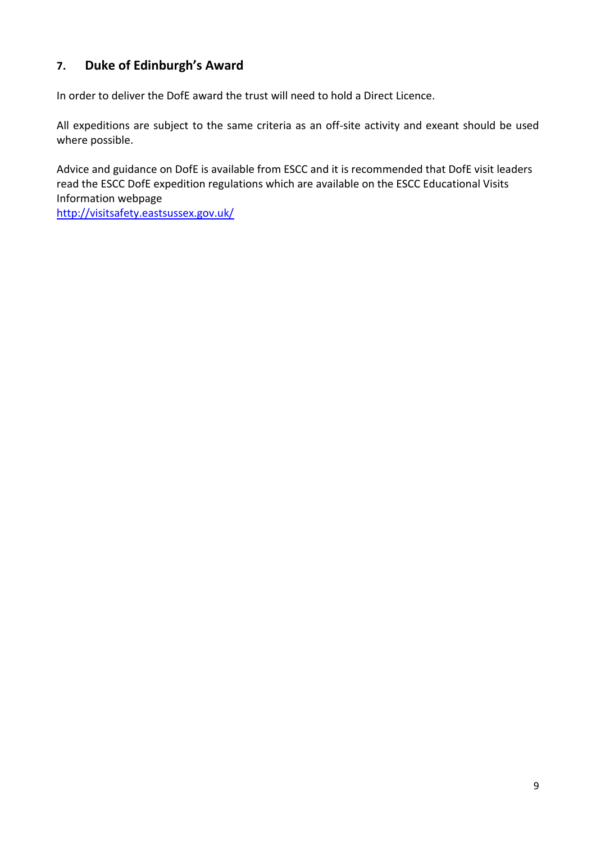# **7. Duke of Edinburgh's Award**

In order to deliver the DofE award the trust will need to hold a Direct Licence.

All expeditions are subject to the same criteria as an off-site activity and exeant should be used where possible.

Advice and guidance on DofE is available from ESCC and it is recommended that DofE visit leaders read the ESCC DofE expedition regulations which are available on the ESCC Educational Visits Information webpage

<http://visitsafety.eastsussex.gov.uk/>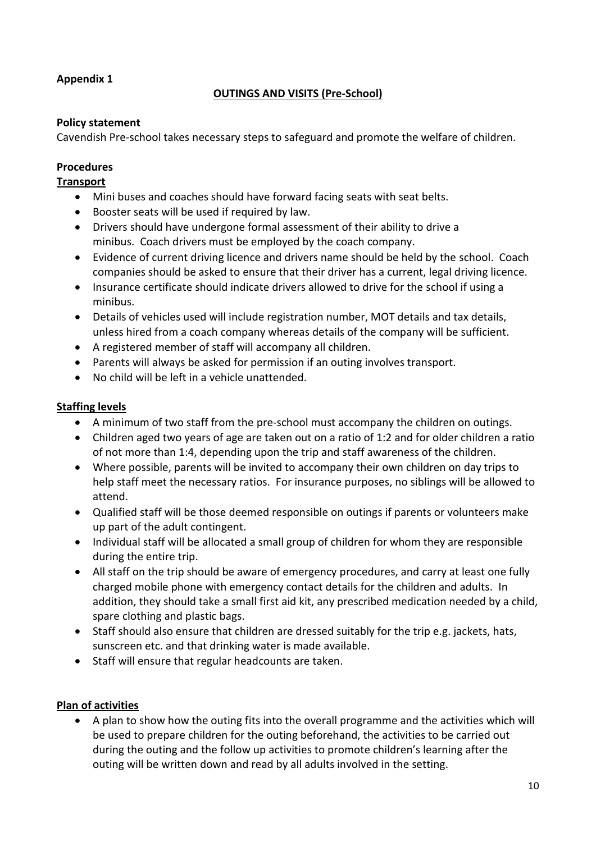## **Appendix 1**

## **OUTINGS AND VISITS (Pre-School)**

## **Policy statement**

Cavendish Pre-school takes necessary steps to safeguard and promote the welfare of children.

## **Procedures**

## **Transport**

- Mini buses and coaches should have forward facing seats with seat belts.
- Booster seats will be used if required by law.
- Drivers should have undergone formal assessment of their ability to drive a minibus. Coach drivers must be employed by the coach company.
- Evidence of current driving licence and drivers name should be held by the school. Coach companies should be asked to ensure that their driver has a current, legal driving licence.
- Insurance certificate should indicate drivers allowed to drive for the school if using a minibus.
- Details of vehicles used will include registration number, MOT details and tax details, unless hired from a coach company whereas details of the company will be sufficient.
- A registered member of staff will accompany all children.
- Parents will always be asked for permission if an outing involves transport.
- No child will be left in a vehicle unattended.

## **Staffing levels**

- A minimum of two staff from the pre-school must accompany the children on outings.
- Children aged two years of age are taken out on a ratio of 1:2 and for older children a ratio of not more than 1:4, depending upon the trip and staff awareness of the children.
- Where possible, parents will be invited to accompany their own children on day trips to help staff meet the necessary ratios. For insurance purposes, no siblings will be allowed to attend.
- Qualified staff will be those deemed responsible on outings if parents or volunteers make up part of the adult contingent.
- Individual staff will be allocated a small group of children for whom they are responsible during the entire trip.
- All staff on the trip should be aware of emergency procedures, and carry at least one fully charged mobile phone with emergency contact details for the children and adults. In addition, they should take a small first aid kit, any prescribed medication needed by a child, spare clothing and plastic bags.
- Staff should also ensure that children are dressed suitably for the trip e.g. jackets, hats, sunscreen etc. and that drinking water is made available.
- Staff will ensure that regular headcounts are taken.

## **Plan of activities**

 A plan to show how the outing fits into the overall programme and the activities which will be used to prepare children for the outing beforehand, the activities to be carried out during the outing and the follow up activities to promote children's learning after the outing will be written down and read by all adults involved in the setting.